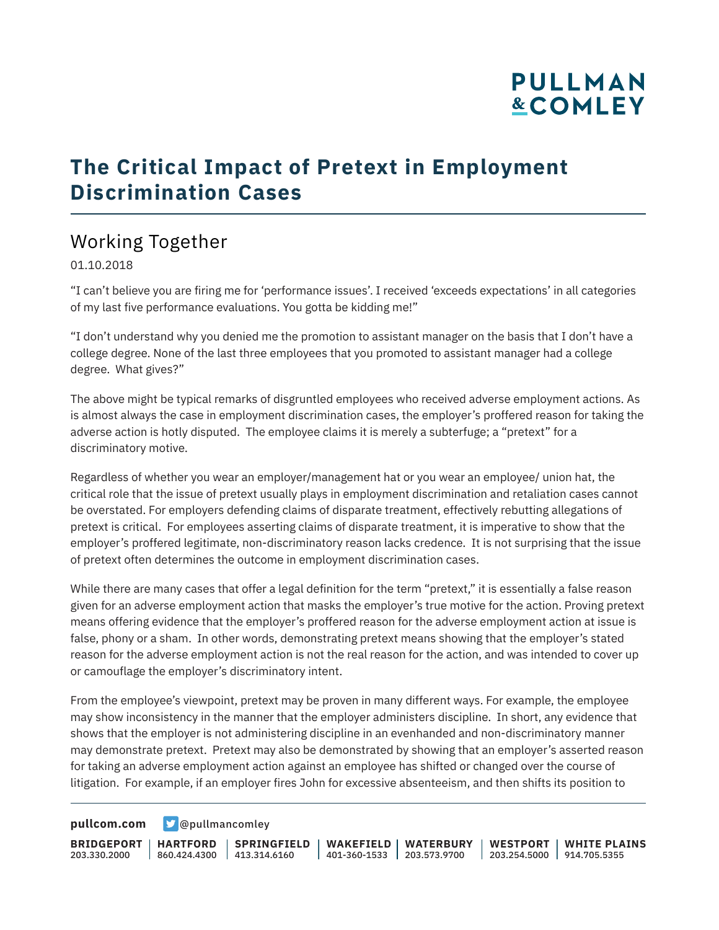## **PULLMAN &COMLEY**

### **The Critical Impact of Pretext in Employment Discrimination Cases**

### Working Together

01.10.2018

"I can't believe you are firing me for 'performance issues'. I received 'exceeds expectations' in all categories of my last five performance evaluations. You gotta be kidding me!"

"I don't understand why you denied me the promotion to assistant manager on the basis that I don't have a college degree. None of the last three employees that you promoted to assistant manager had a college degree. What gives?"

The above might be typical remarks of disgruntled employees who received adverse employment actions. As is almost always the case in employment discrimination cases, the employer's proffered reason for taking the adverse action is hotly disputed. The employee claims it is merely a subterfuge; a "pretext" for a discriminatory motive.

Regardless of whether you wear an employer/management hat or you wear an employee/ union hat, the critical role that the issue of pretext usually plays in employment discrimination and retaliation cases cannot be overstated. For employers defending claims of disparate treatment, effectively rebutting allegations of pretext is critical. For employees asserting claims of disparate treatment, it is imperative to show that the employer's proffered legitimate, non-discriminatory reason lacks credence. It is not surprising that the issue of pretext often determines the outcome in employment discrimination cases.

While there are many cases that offer a legal definition for the term "pretext," it is essentially a false reason given for an adverse employment action that masks the employer's true motive for the action. Proving pretext means offering evidence that the employer's proffered reason for the adverse employment action at issue is false, phony or a sham. In other words, demonstrating pretext means showing that the employer's stated reason for the adverse employment action is not the real reason for the action, and was intended to cover up or camouflage the employer's discriminatory intent.

From the employee's viewpoint, pretext may be proven in many different ways. For example, the employee may show inconsistency in the manner that the employer administers discipline. In short, any evidence that shows that the employer is not administering discipline in an evenhanded and non-discriminatory manner may demonstrate pretext. Pretext may also be demonstrated by showing that an employer's asserted reason for taking an adverse employment action against an employee has shifted or changed over the course of litigation. For example, if an employer fires John for excessive absenteeism, and then shifts its position to

**[pullcom.com](https://www.pullcom.com) g** [@pullmancomley](https://twitter.com/PullmanComley)

**BRIDGEPORT HARTFORD** 203.330.2000

860.424.4300 413.314.6160 **SPRINGFIELD** **WAKEFIELD WATERBURY** 401-360-1533 203.573.9700

**WESTPORT WHITE PLAINS** 203.254.5000 914.705.5355